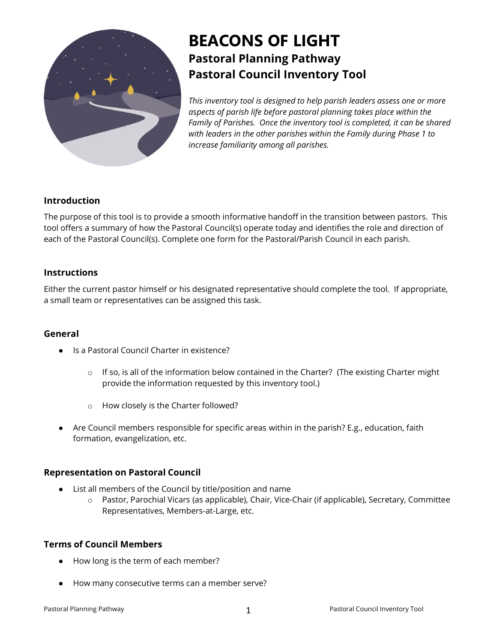

# **BEACONS OF LIGHT Pastoral Planning Pathway Pastoral Council Inventory Tool**

*This inventory tool is designed to help parish leaders assess one or more aspects of parish life before pastoral planning takes place within the Family of Parishes. Once the inventory tool is completed, it can be shared with leaders in the other parishes within the Family during Phase 1 to increase familiarity among all parishes.*

## **Introduction**

The purpose of this tool is to provide a smooth informative handoff in the transition between pastors. This tool offers a summary of how the Pastoral Council(s) operate today and identifies the role and direction of each of the Pastoral Council(s). Complete one form for the Pastoral/Parish Council in each parish.

## **Instructions**

Either the current pastor himself or his designated representative should complete the tool. If appropriate, a small team or representatives can be assigned this task.

## **General**

- Is a Pastoral Council Charter in existence?
	- $\circ$  If so, is all of the information below contained in the Charter? (The existing Charter might provide the information requested by this inventory tool.)
	- o How closely is the Charter followed?
- Are Council members responsible for specific areas within in the parish? E.g., education, faith formation, evangelization, etc.

#### **Representation on Pastoral Council**

- List all members of the Council by title/position and name
	- o Pastor, Parochial Vicars (as applicable), Chair, Vice-Chair (if applicable), Secretary, Committee Representatives, Members-at-Large, etc.

#### **Terms of Council Members**

- How long is the term of each member?
- How many consecutive terms can a member serve?